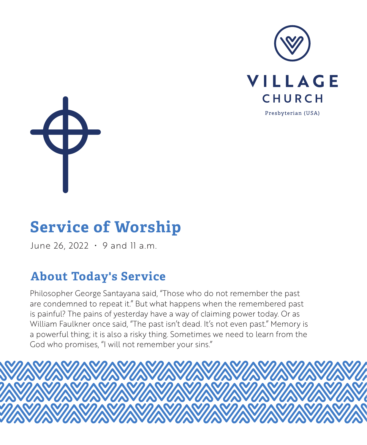



# **Service of Worship**

June 26, 2022  $\cdot$  9 and II a.m.

## **About Today's Service**

Philosopher George Santayana said, "Those who do not remember the past are condemned to repeat it." But what happens when the remembered past is painful? The pains of yesterday have a way of claiming power today. Or as William Faulkner once said, "The past isn't dead. It's not even past." Memory is a powerful thing; it is also a risky thing. Sometimes we need to learn from the God who promises, "I will not remember your sins."

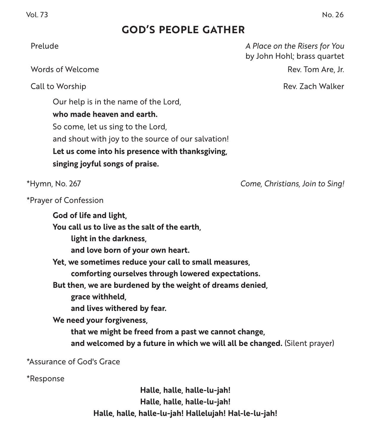## **GOD'S PEOPLE GATHER**

Prelude *A Place on the Risers for You*

Words of Welcome Rev. Tom Are, Jr.

Call to Worship **Call to Worship** Rev. Zach Walker

Our help is in the name of the Lord,

**who made heaven and earth.** So come, let us sing to the Lord, and shout with joy to the source of our salvation! **Let us come into his presence with thanksgiving, singing joyful songs of praise.**

\*Hymn, No. 267 *Come, Christians, Join to Sing!*

by John Hohl; brass quartet

\*Prayer of Confession

**God of life and light, You call us to live as the salt of the earth, light in the darkness, and love born of your own heart. Yet, we sometimes reduce your call to small measures, comforting ourselves through lowered expectations. But then, we are burdened by the weight of dreams denied, grace withheld, and lives withered by fear. We need your forgiveness, that we might be freed from a past we cannot change, and welcomed by a future in which we will all be changed.** (Silent prayer) \*Assurance of God's Grace

\*Response

**Halle, halle, halle-lu-jah! Halle, halle, halle-lu-jah! Halle, halle, halle-lu-jah! Hallelujah! Hal-le-lu-jah!**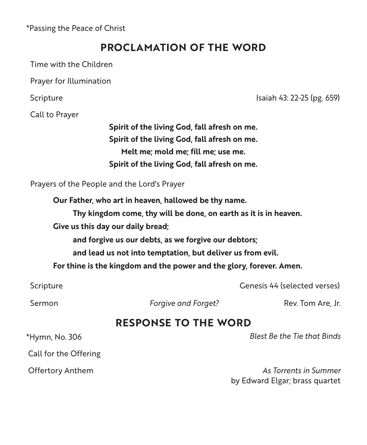\*Passing the Peace of Christ

## **PROCLAMATION OF THE WORD**

Time with the Children

Prayer for Illumination

Scripture Isaiah 43: 22-25 (pg. 659)

Call to Prayer

**Spirit of the living God, fall afresh on me. Spirit of the living God, fall afresh on me. Melt me; mold me; fill me; use me. Spirit of the living God, fall afresh on me.**

Prayers of the People and the Lord's Prayer

**Our Father, who art in heaven, hallowed be thy name.**

 **Thy kingdom come, thy will be done, on earth as it is in heaven.**

**Give us this day our daily bread;**

 **and forgive us our debts, as we forgive our debtors;**

 **and lead us not into temptation, but deliver us from evil.**

**For thine is the kingdom and the power and the glory, forever. Amen.**

Scripture Genesis 44 (selected verses)

Sermon *Forgive and Forget?* Rev. Tom Are, Jr.

## **RESPONSE TO THE WORD**

\*Hymn, No. 306 *Blest Be the Tie that Binds*

Call for the Offering

 Offertory Anthem *As Torrents in Summer* by Edward Elgar; brass quartet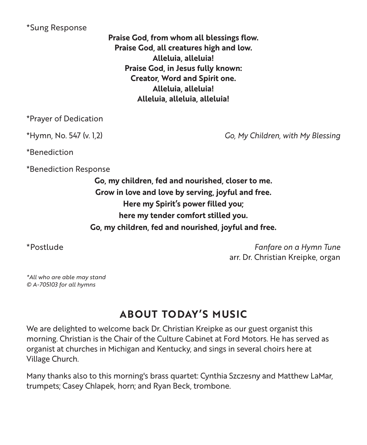#### \*Sung Response

**Praise God, from whom all blessings flow. Praise God, all creatures high and low. Alleluia, alleluia! Praise God, in Jesus fully known: Creator, Word and Spirit one. Alleluia, alleluia! Alleluia, alleluia, alleluia!**

\*Prayer of Dedication

\*Hymn, No. 547 (v. 1,2) *Go, My Children, with My Blessing*

\*Benediction

\*Benediction Response

**Go, my children, fed and nourished, closer to me. Grow in love and love by serving, joyful and free. Here my Spirit's power filled you; here my tender comfort stilled you. Go, my children, fed and nourished, joyful and free.**

\*Postlude *Fanfare on a Hymn Tune* arr. Dr. Christian Kreipke, organ

*\*All who are able may stand © A-705103 for all hymns*

## **ABOUT TODAY'S MUSIC**

We are delighted to welcome back Dr. Christian Kreipke as our guest organist this morning. Christian is the Chair of the Culture Cabinet at Ford Motors. He has served as organist at churches in Michigan and Kentucky, and sings in several choirs here at Village Church.

Many thanks also to this morning's brass quartet: Cynthia Szczesny and Matthew LaMar, trumpets; Casey Chlapek, horn; and Ryan Beck, trombone.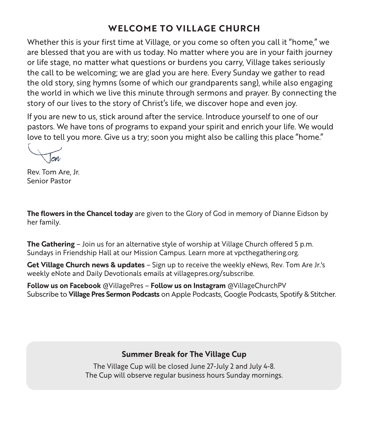## **WELCOME TO VILLAGE CHURCH**

Whether this is your first time at Village, or you come so often you call it "home," we are blessed that you are with us today. No matter where you are in your faith journey or life stage, no matter what questions or burdens you carry, Village takes seriously the call to be welcoming; we are glad you are here. Every Sunday we gather to read the old story, sing hymns (some of which our grandparents sang), while also engaging the world in which we live this minute through sermons and prayer. By connecting the story of our lives to the story of Christ's life, we discover hope and even joy.

If you are new to us, stick around after the service. Introduce yourself to one of our pastors. We have tons of programs to expand your spirit and enrich your life. We would love to tell you more. Give us a try; soon you might also be calling this place "home."

Rev. Tom Are, Jr. Senior Pastor

**The flowers in the Chancel today** are given to the Glory of God in memory of Dianne Eidson by her family.

**The Gathering** – Join us for an alternative style of worship at Village Church offered 5 p.m. Sundays in Friendship Hall at our Mission Campus. Learn more at vpcthegathering.org.

**Get Village Church news & updates** – Sign up to receive the weekly eNews, Rev. Tom Are Jr.'s weekly eNote and Daily Devotionals emails at villagepres.org/subscribe.

**Follow us on Facebook** @VillagePres – **Follow us on Instagram** @VillageChurchPV Subscribe to **Village Pres Sermon Podcasts** on Apple Podcasts, Google Podcasts, Spotify & Stitcher.

#### **Summer Break for The Village Cup**

The Village Cup will be closed June 27-July 2 and July 4-8. The Cup will observe regular business hours Sunday mornings.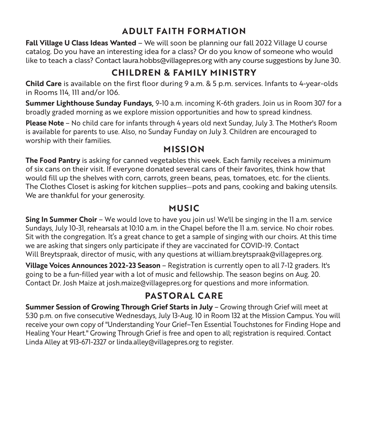## **ADULT FAITH FORMATION**

**Fall Village U Class Ideas Wanted** – We will soon be planning our fall 2022 Village U course catalog. Do you have an interesting idea for a class? Or do you know of someone who would like to teach a class? Contact laura.hobbs@villagepres.org with any course suggestions by June 30.

## **CHILDREN & FAMILY MINISTRY**

**Child Care** is available on the first floor during 9 a.m. & 5 p.m. services. Infants to 4-year-olds in Rooms 114, 111 and/or 106.

**Summer Lighthouse Sunday Fundays,** 9-10 a.m. incoming K-6th graders. Join us in Room 307 for a broadly graded morning as we explore mission opportunities and how to spread kindness.

**Please Note** – No child care for infants through 4 years old next Sunday, July 3. The Mother's Room is available for parents to use. Also, no Sunday Funday on July 3. Children are encouraged to worship with their families.

#### **MISSION**

**The Food Pantry** is asking for canned vegetables this week. Each family receives a minimum of six cans on their visit. If everyone donated several cans of their favorites, think how that would fill up the shelves with corn, carrots, green beans, peas, tomatoes, etc. for the clients. The Clothes Closet is asking for kitchen supplies-pots and pans, cooking and baking utensils. We are thankful for your generosity.

#### **MUSIC**

**Sing In Summer Choir** – We would love to have you join us! We'll be singing in the 11 a.m. service Sundays, July 10-31, rehearsals at 10:10 a.m. in the Chapel before the 11 a.m. service. No choir robes. Sit with the congregation. It's a great chance to get a sample of singing with our choirs. At this time we are asking that singers only participate if they are vaccinated for COVID-19. Contact Will Breytspraak, director of music, with any questions at william.breytspraak@villagepres.org.

**Village Voices Announces 2022-23 Season** – Registration is currently open to all 7-12 graders. It's going to be a fun-filled year with a lot of music and fellowship. The season begins on Aug. 20. Contact Dr. Josh Maize at josh.maize@villagepres.org for questions and more information.

## **PASTORAL CARE**

**Summer Session of Growing Through Grief Starts in July** - Growing through Grief will meet at 5:30 p.m. on five consecutive Wednesdays, July 13-Aug. 10 in Room 132 at the Mission Campus. You will receive your own copy of "Understanding Your Grief–Ten Essential Touchstones for Finding Hope and Healing Your Heart." Growing Through Grief is free and open to all; registration is required. Contact Linda Alley at 913-671-2327 or linda.alley@villagepres.org to register.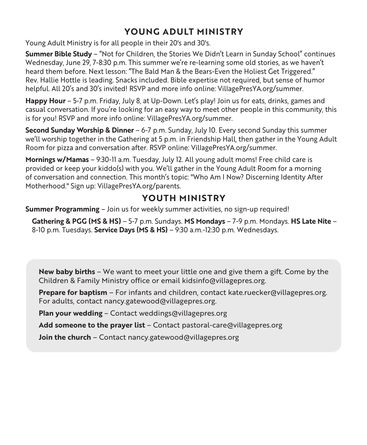## **YOUNG ADULT MINISTRY**

Young Adult Ministry is for all people in their 20's and 30's.

**Summer Bible Study** – "Not for Children, the Stories We Didn't Learn in Sunday School" continues Wednesday, June 29, 7-8:30 p.m. This summer we're re-learning some old stories, as we haven't heard them before. Next lesson: "The Bald Man & the Bears-Even the Holiest Get Triggered." Rev. Hallie Hottle is leading. Snacks included. Bible expertise not required, but sense of humor helpful. All 20's and 30's invited! RSVP and more info online: VillagePresYA.org/summer.

**Happy Hour** – 5-7 p.m. Friday, July 8, at Up-Down. Let's play! Join us for eats, drinks, games and casual conversation. If you're looking for an easy way to meet other people in this community, this is for you! RSVP and more info online: VillagePresYA.org/summer.

**Second Sunday Worship & Dinner** – 6-7 p.m. Sunday, July 10. Every second Sunday this summer we'll worship together in the Gathering at 5 p.m. in Friendship Hall, then gather in the Young Adult Room for pizza and conversation after. RSVP online: VillagePresYA.org/summer.

**Mornings w/Mamas** – 9:30-11 a.m. Tuesday, July 12. All young adult moms! Free child care is provided or keep your kiddo(s) with you. We'll gather in the Young Adult Room for a morning of conversation and connection. This month's topic: "Who Am I Now? Discerning Identity After Motherhood." Sign up: VillagePresYA.org/parents.

## **YOUTH MINISTRY**

**Summer Programming** – Join us for weekly summer activities, no sign-up required!

**Gathering & PGG (MS & HS)** – 5-7 p.m. Sundays. **MS Mondays** – 7-9 p.m. Mondays. **HS Late Nite** – 8-10 p.m. Tuesdays. **Service Days (MS & HS)** – 9:30 a.m.-12:30 p.m. Wednesdays.

**New baby births** – We want to meet your little one and give them a gift. Come by the Children & Family Ministry office or email kidsinfo@villagepres.org.

**Prepare for baptism** – For infants and children, contact kate.ruecker@villagepres.org. For adults, contact nancy.gatewood@villagepres.org.

**Plan your wedding** – Contact weddings@villagepres.org

**Add someone to the prayer list** – Contact pastoral-care@villagepres.org

**Join the church** – Contact nancy.gatewood@villagepres.org